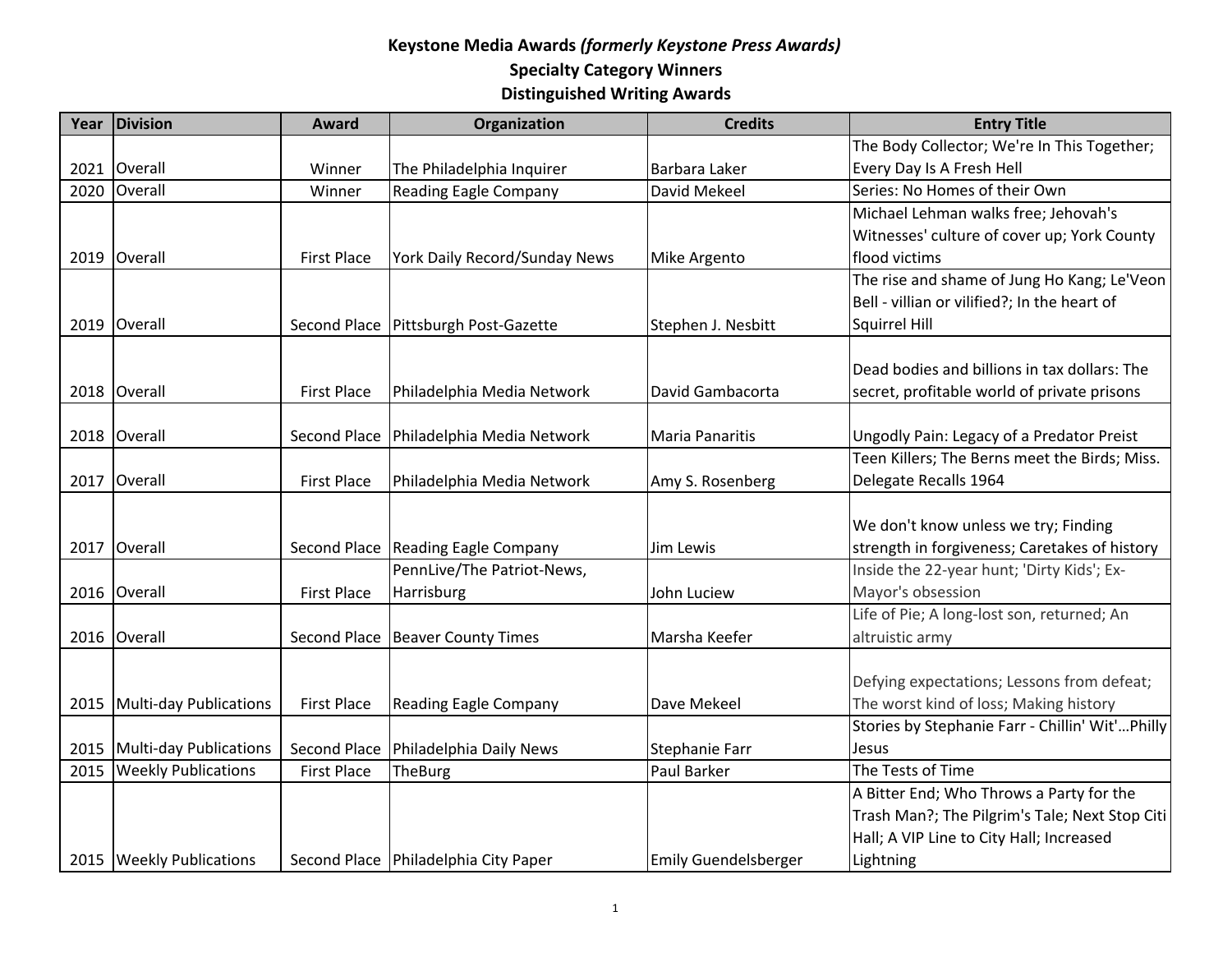| Year | Division                    | <b>Award</b>       | Organization                         | <b>Credits</b>        | <b>Entry Title</b>                              |
|------|-----------------------------|--------------------|--------------------------------------|-----------------------|-------------------------------------------------|
|      |                             |                    |                                      |                       | The Body Collector; We're In This Together;     |
| 2021 | Overall                     | Winner             | The Philadelphia Inquirer            | Barbara Laker         | Every Day Is A Fresh Hell                       |
| 2020 | Overall                     | Winner             | <b>Reading Eagle Company</b>         | David Mekeel          | Series: No Homes of their Own                   |
|      |                             |                    |                                      |                       | Michael Lehman walks free; Jehovah's            |
|      |                             |                    |                                      |                       | Witnesses' culture of cover up; York County     |
|      | 2019 Overall                | <b>First Place</b> | York Daily Record/Sunday News        | Mike Argento          | flood victims                                   |
|      |                             |                    |                                      |                       | The rise and shame of Jung Ho Kang; Le'Veon     |
|      |                             |                    |                                      |                       | Bell - villian or vilified?; In the heart of    |
|      | 2019 Overall                | Second Place       | Pittsburgh Post-Gazette              | Stephen J. Nesbitt    | Squirrel Hill                                   |
|      |                             |                    |                                      |                       |                                                 |
|      |                             |                    |                                      |                       | Dead bodies and billions in tax dollars: The    |
|      | 2018 Overall                | <b>First Place</b> | Philadelphia Media Network           | David Gambacorta      | secret, profitable world of private prisons     |
|      |                             |                    |                                      |                       |                                                 |
| 2018 | Overall                     | Second Place       | Philadelphia Media Network           | Maria Panaritis       | Ungodly Pain: Legacy of a Predator Preist       |
|      |                             |                    |                                      |                       | Teen Killers; The Berns meet the Birds; Miss.   |
| 2017 | Overall                     | <b>First Place</b> | Philadelphia Media Network           | Amy S. Rosenberg      | Delegate Recalls 1964                           |
|      |                             |                    |                                      |                       |                                                 |
|      |                             |                    |                                      |                       | We don't know unless we try; Finding            |
| 2017 | Overall                     |                    | Second Place Reading Eagle Company   | Jim Lewis             | strength in forgiveness; Caretakes of history   |
|      |                             |                    | PennLive/The Patriot-News,           |                       | Inside the 22-year hunt; 'Dirty Kids'; Ex-      |
|      | 2016 Overall                | <b>First Place</b> | Harrisburg                           | John Luciew           | Mayor's obsession                               |
|      |                             |                    |                                      |                       | Life of Pie; A long-lost son, returned; An      |
| 2016 | Overall                     | Second Place       | <b>Beaver County Times</b>           | Marsha Keefer         | altruistic army                                 |
|      |                             |                    |                                      |                       |                                                 |
|      |                             |                    |                                      |                       | Defying expectations; Lessons from defeat;      |
|      | 2015 Multi-day Publications | <b>First Place</b> | <b>Reading Eagle Company</b>         | Dave Mekeel           | The worst kind of loss; Making history          |
|      |                             |                    |                                      |                       | Stories by Stephanie Farr - Chillin' Wit'Philly |
| 2015 | Multi-day Publications      | Second Place       | Philadelphia Daily News              | <b>Stephanie Farr</b> | Jesus                                           |
| 2015 | <b>Weekly Publications</b>  | <b>First Place</b> | <b>TheBurg</b>                       | Paul Barker           | The Tests of Time                               |
|      |                             |                    |                                      |                       | A Bitter End; Who Throws a Party for the        |
|      |                             |                    |                                      |                       | Trash Man?; The Pilgrim's Tale; Next Stop Citi  |
|      |                             |                    |                                      |                       | Hall; A VIP Line to City Hall; Increased        |
|      | 2015   Weekly Publications  |                    | Second Place Philadelphia City Paper | Emily Guendelsberger  | Lightning                                       |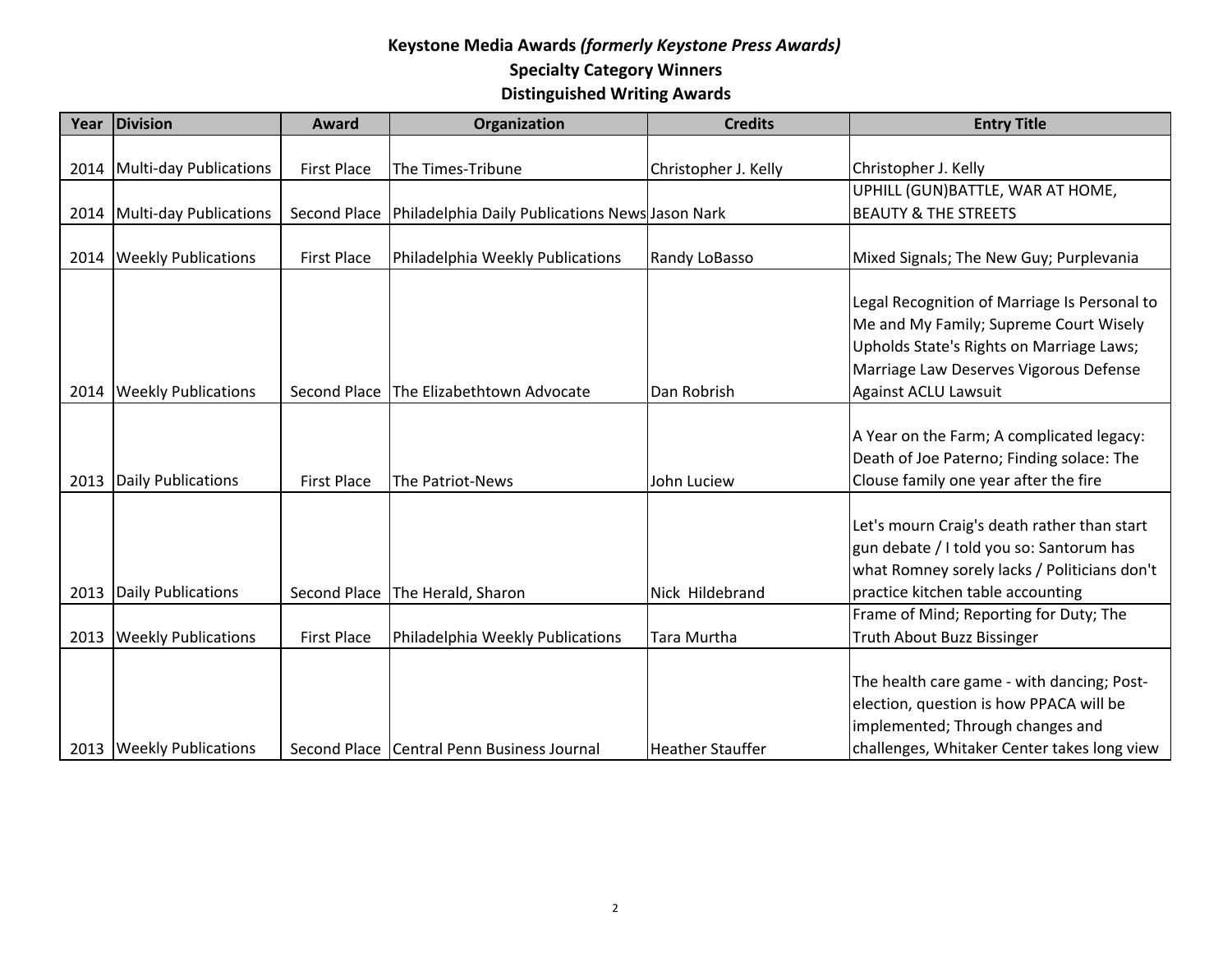| Year | <b>Division</b>               | <b>Award</b>       | Organization                                    | <b>Credits</b>          | <b>Entry Title</b>                                                                                                                                                           |
|------|-------------------------------|--------------------|-------------------------------------------------|-------------------------|------------------------------------------------------------------------------------------------------------------------------------------------------------------------------|
|      |                               |                    |                                                 |                         |                                                                                                                                                                              |
|      | 2014   Multi-day Publications | <b>First Place</b> | The Times-Tribune                               | Christopher J. Kelly    | Christopher J. Kelly                                                                                                                                                         |
|      |                               |                    |                                                 |                         | UPHILL (GUN) BATTLE, WAR AT HOME,                                                                                                                                            |
|      | 2014   Multi-day Publications | Second Place       | Philadelphia Daily Publications News Jason Nark |                         | <b>BEAUTY &amp; THE STREETS</b>                                                                                                                                              |
| 2014 | <b>Weekly Publications</b>    | <b>First Place</b> | Philadelphia Weekly Publications                | Randy LoBasso           | Mixed Signals; The New Guy; Purplevania                                                                                                                                      |
|      |                               |                    |                                                 |                         | Legal Recognition of Marriage Is Personal to<br>Me and My Family; Supreme Court Wisely<br>Upholds State's Rights on Marriage Laws;<br>Marriage Law Deserves Vigorous Defense |
| 2014 | <b>Weekly Publications</b>    | Second Place       | The Elizabethtown Advocate                      | Dan Robrish             | Against ACLU Lawsuit                                                                                                                                                         |
| 2013 | <b>Daily Publications</b>     | <b>First Place</b> | The Patriot-News                                | John Luciew             | A Year on the Farm; A complicated legacy:<br>Death of Joe Paterno; Finding solace: The<br>Clouse family one year after the fire                                              |
|      | 2013 Daily Publications       | Second Place       | The Herald, Sharon                              | Nick Hildebrand         | Let's mourn Craig's death rather than start<br>gun debate / I told you so: Santorum has<br>what Romney sorely lacks / Politicians don't<br>practice kitchen table accounting |
|      |                               |                    |                                                 |                         | Frame of Mind; Reporting for Duty; The                                                                                                                                       |
| 2013 | <b>Weekly Publications</b>    | <b>First Place</b> | Philadelphia Weekly Publications                | Tara Murtha             | Truth About Buzz Bissinger                                                                                                                                                   |
|      | 2013   Weekly Publications    |                    | Second Place   Central Penn Business Journal    | <b>Heather Stauffer</b> | The health care game - with dancing; Post-<br>election, question is how PPACA will be<br>implemented; Through changes and<br>challenges, Whitaker Center takes long view     |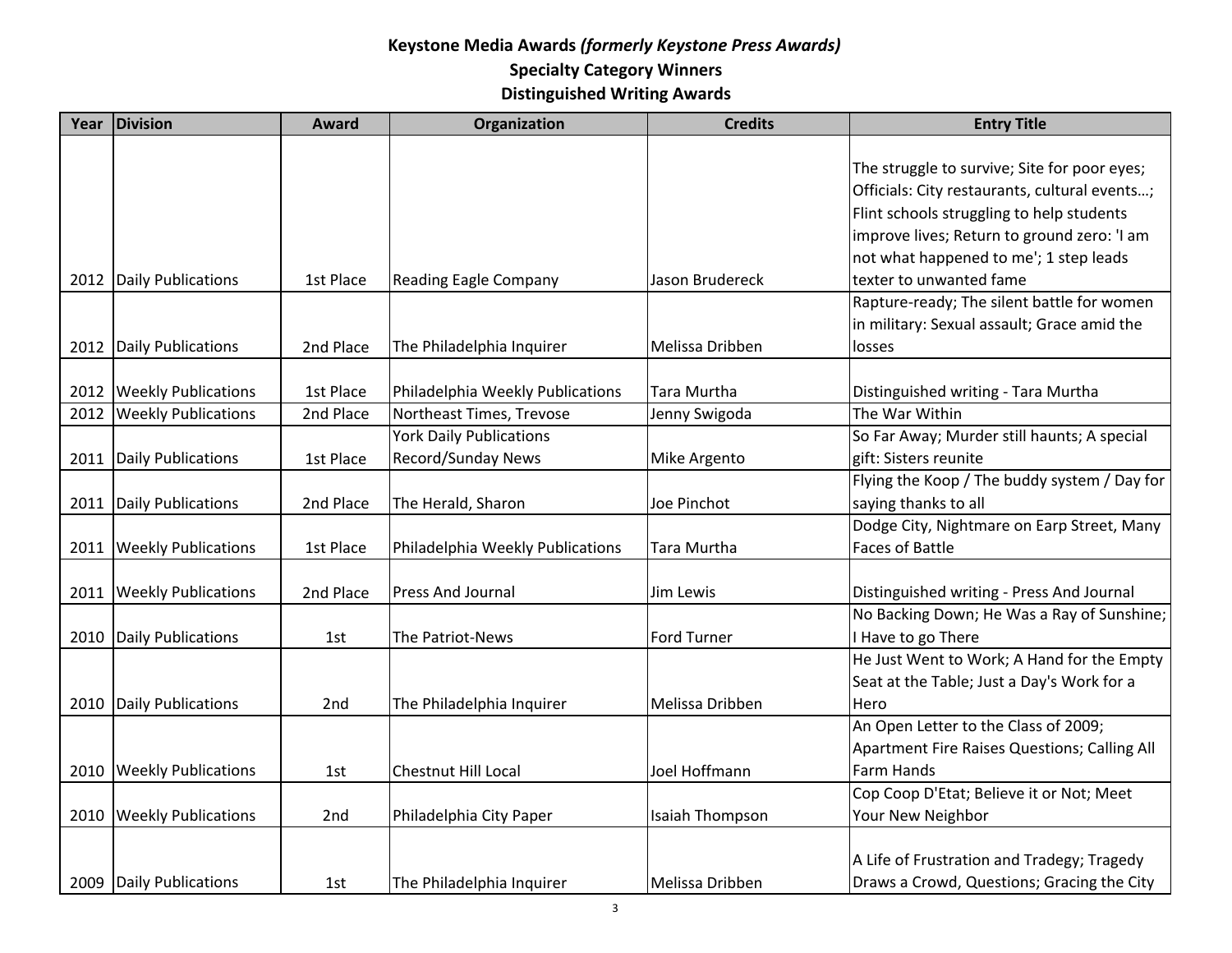| Year | <b>Division</b>            | Award           | Organization                     | <b>Credits</b>     | <b>Entry Title</b>                            |
|------|----------------------------|-----------------|----------------------------------|--------------------|-----------------------------------------------|
|      |                            |                 |                                  |                    |                                               |
|      |                            |                 |                                  |                    | The struggle to survive; Site for poor eyes;  |
|      |                            |                 |                                  |                    | Officials: City restaurants, cultural events; |
|      |                            |                 |                                  |                    | Flint schools struggling to help students     |
|      |                            |                 |                                  |                    | improve lives; Return to ground zero: 'I am   |
|      |                            |                 |                                  |                    | not what happened to me'; 1 step leads        |
| 2012 | Daily Publications         | 1st Place       | <b>Reading Eagle Company</b>     | Jason Brudereck    | texter to unwanted fame                       |
|      |                            |                 |                                  |                    | Rapture-ready; The silent battle for women    |
|      |                            |                 |                                  |                    | in military: Sexual assault; Grace amid the   |
|      | 2012 Daily Publications    | 2nd Place       | The Philadelphia Inquirer        | Melissa Dribben    | losses                                        |
|      |                            |                 |                                  |                    |                                               |
|      | 2012 Weekly Publications   | 1st Place       | Philadelphia Weekly Publications | Tara Murtha        | Distinguished writing - Tara Murtha           |
| 2012 | <b>Weekly Publications</b> | 2nd Place       | Northeast Times, Trevose         | Jenny Swigoda      | The War Within                                |
|      |                            |                 | <b>York Daily Publications</b>   |                    | So Far Away; Murder still haunts; A special   |
| 2011 | <b>Daily Publications</b>  | 1st Place       | <b>Record/Sunday News</b>        | Mike Argento       | gift: Sisters reunite                         |
|      |                            |                 |                                  |                    | Flying the Koop / The buddy system / Day for  |
| 2011 | Daily Publications         | 2nd Place       | The Herald, Sharon               | Joe Pinchot        | saying thanks to all                          |
|      |                            |                 |                                  |                    | Dodge City, Nightmare on Earp Street, Many    |
|      | 2011   Weekly Publications | 1st Place       | Philadelphia Weekly Publications | <b>Tara Murtha</b> | <b>Faces of Battle</b>                        |
|      |                            |                 |                                  |                    |                                               |
| 2011 | <b>Weekly Publications</b> | 2nd Place       | <b>Press And Journal</b>         | Jim Lewis          | Distinguished writing - Press And Journal     |
|      |                            |                 |                                  |                    | No Backing Down; He Was a Ray of Sunshine;    |
| 2010 | Daily Publications         | 1st             | The Patriot-News                 | <b>Ford Turner</b> | I Have to go There                            |
|      |                            |                 |                                  |                    | He Just Went to Work; A Hand for the Empty    |
|      |                            |                 |                                  |                    | Seat at the Table; Just a Day's Work for a    |
|      | 2010 Daily Publications    | 2 <sub>nd</sub> | The Philadelphia Inquirer        | Melissa Dribben    | Hero                                          |
|      |                            |                 |                                  |                    | An Open Letter to the Class of 2009;          |
|      |                            |                 |                                  |                    | Apartment Fire Raises Questions; Calling All  |
|      | 2010   Weekly Publications | 1st             | <b>Chestnut Hill Local</b>       | Joel Hoffmann      | Farm Hands                                    |
|      |                            |                 |                                  |                    | Cop Coop D'Etat; Believe it or Not; Meet      |
| 2010 | <b>Weekly Publications</b> | 2nd             | Philadelphia City Paper          | Isaiah Thompson    | Your New Neighbor                             |
|      |                            |                 |                                  |                    |                                               |
|      |                            |                 |                                  |                    | A Life of Frustration and Tradegy; Tragedy    |
|      | 2009 Daily Publications    | 1st             | The Philadelphia Inquirer        | Melissa Dribben    | Draws a Crowd, Questions; Gracing the City    |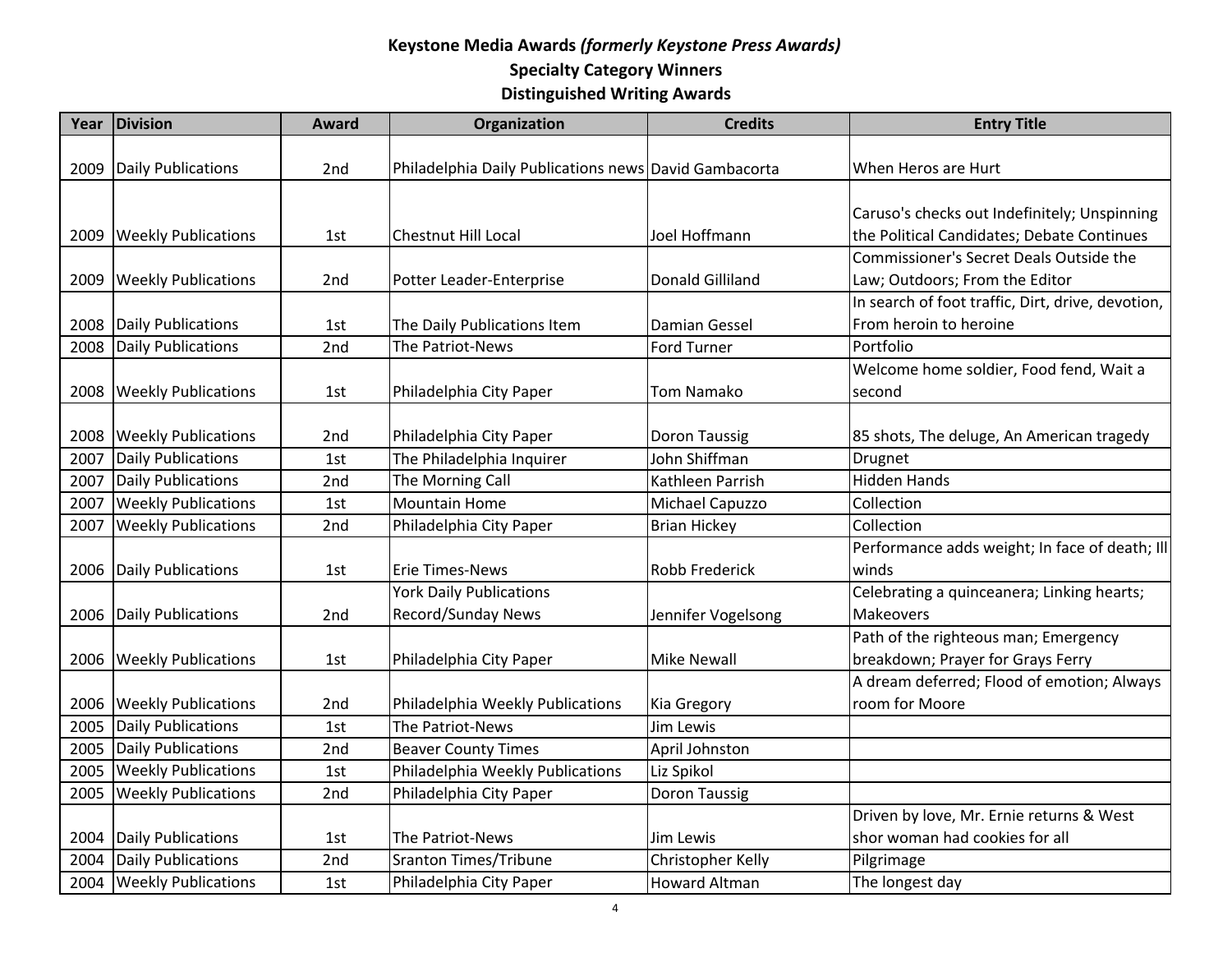| Daily Publications<br>Philadelphia Daily Publications news David Gambacorta<br>When Heros are Hurt<br>2009<br>2 <sub>nd</sub><br>Caruso's checks out Indefinitely; Unspinning<br>the Political Candidates; Debate Continues<br>Joel Hoffmann<br><b>Weekly Publications</b><br><b>Chestnut Hill Local</b><br>2009<br>1st<br>Commissioner's Secret Deals Outside the<br><b>Weekly Publications</b><br>Donald Gilliland<br>Law; Outdoors; From the Editor<br>2009<br>Potter Leader-Enterprise<br>2 <sub>nd</sub><br>In search of foot traffic, Dirt, drive, devotion,<br><b>Daily Publications</b><br>From heroin to heroine<br>2008<br>The Daily Publications Item<br><b>Damian Gessel</b><br>1st<br><b>Daily Publications</b><br>The Patriot-News<br><b>Ford Turner</b><br>Portfolio<br>2008<br>2 <sub>nd</sub><br>Welcome home soldier, Food fend, Wait a<br><b>Weekly Publications</b><br><b>Tom Namako</b><br>2008<br>Philadelphia City Paper<br>second<br>1st<br><b>Weekly Publications</b><br>2008<br>2nd<br>Philadelphia City Paper<br><b>Doron Taussig</b><br>85 shots, The deluge, An American tragedy<br>Daily Publications<br>The Philadelphia Inquirer<br>John Shiffman<br>2007<br>1st<br>Drugnet<br>Daily Publications<br><b>Hidden Hands</b><br>The Morning Call<br>Kathleen Parrish<br>2007<br>2nd<br><b>Weekly Publications</b><br><b>Mountain Home</b><br>Collection<br>2007<br>Michael Capuzzo<br>1st<br><b>Weekly Publications</b><br><b>Brian Hickey</b><br>2007<br>2nd<br>Philadelphia City Paper<br>Collection<br>Performance adds weight; In face of death; Ill<br>Daily Publications<br><b>Robb Frederick</b><br>2006<br><b>Erie Times-News</b><br>winds<br>1st<br><b>York Daily Publications</b><br>Celebrating a quinceanera; Linking hearts;<br>Record/Sunday News<br>Daily Publications<br>Jennifer Vogelsong<br><b>Makeovers</b><br>2006<br>2nd<br>Path of the righteous man; Emergency<br>breakdown; Prayer for Grays Ferry<br><b>Weekly Publications</b><br><b>Mike Newall</b><br>Philadelphia City Paper<br>2006<br>1st<br>A dream deferred; Flood of emotion; Always<br><b>Weekly Publications</b><br>room for Moore<br>2006<br>Philadelphia Weekly Publications<br>2nd<br>Kia Gregory<br>Daily Publications<br>The Patriot-News<br>Jim Lewis<br>2005<br>1st<br>Daily Publications<br>2005<br>2nd<br>April Johnston<br><b>Beaver County Times</b><br><b>Weekly Publications</b><br>Philadelphia Weekly Publications<br>Liz Spikol<br>2005<br>1st<br><b>Weekly Publications</b><br>2nd<br>2005<br>Philadelphia City Paper<br><b>Doron Taussig</b><br>Driven by love, Mr. Ernie returns & West<br>Daily Publications<br>shor woman had cookies for all<br>2004<br>The Patriot-News<br><b>Jim Lewis</b><br>1st<br>Daily Publications<br><b>Sranton Times/Tribune</b><br>Christopher Kelly<br>Pilgrimage<br>2004<br>2nd | Year | <b>Division</b>            | <b>Award</b> | Organization            | <b>Credits</b>       | <b>Entry Title</b> |
|----------------------------------------------------------------------------------------------------------------------------------------------------------------------------------------------------------------------------------------------------------------------------------------------------------------------------------------------------------------------------------------------------------------------------------------------------------------------------------------------------------------------------------------------------------------------------------------------------------------------------------------------------------------------------------------------------------------------------------------------------------------------------------------------------------------------------------------------------------------------------------------------------------------------------------------------------------------------------------------------------------------------------------------------------------------------------------------------------------------------------------------------------------------------------------------------------------------------------------------------------------------------------------------------------------------------------------------------------------------------------------------------------------------------------------------------------------------------------------------------------------------------------------------------------------------------------------------------------------------------------------------------------------------------------------------------------------------------------------------------------------------------------------------------------------------------------------------------------------------------------------------------------------------------------------------------------------------------------------------------------------------------------------------------------------------------------------------------------------------------------------------------------------------------------------------------------------------------------------------------------------------------------------------------------------------------------------------------------------------------------------------------------------------------------------------------------------------------------------------------------------------------------------------------------------------------------------------------------------------------------------------------------------------------------------------------------------------------------------------------------------------------------------------------------------------------------------------------------|------|----------------------------|--------------|-------------------------|----------------------|--------------------|
|                                                                                                                                                                                                                                                                                                                                                                                                                                                                                                                                                                                                                                                                                                                                                                                                                                                                                                                                                                                                                                                                                                                                                                                                                                                                                                                                                                                                                                                                                                                                                                                                                                                                                                                                                                                                                                                                                                                                                                                                                                                                                                                                                                                                                                                                                                                                                                                                                                                                                                                                                                                                                                                                                                                                                                                                                                                    |      |                            |              |                         |                      |                    |
|                                                                                                                                                                                                                                                                                                                                                                                                                                                                                                                                                                                                                                                                                                                                                                                                                                                                                                                                                                                                                                                                                                                                                                                                                                                                                                                                                                                                                                                                                                                                                                                                                                                                                                                                                                                                                                                                                                                                                                                                                                                                                                                                                                                                                                                                                                                                                                                                                                                                                                                                                                                                                                                                                                                                                                                                                                                    |      |                            |              |                         |                      |                    |
|                                                                                                                                                                                                                                                                                                                                                                                                                                                                                                                                                                                                                                                                                                                                                                                                                                                                                                                                                                                                                                                                                                                                                                                                                                                                                                                                                                                                                                                                                                                                                                                                                                                                                                                                                                                                                                                                                                                                                                                                                                                                                                                                                                                                                                                                                                                                                                                                                                                                                                                                                                                                                                                                                                                                                                                                                                                    |      |                            |              |                         |                      |                    |
|                                                                                                                                                                                                                                                                                                                                                                                                                                                                                                                                                                                                                                                                                                                                                                                                                                                                                                                                                                                                                                                                                                                                                                                                                                                                                                                                                                                                                                                                                                                                                                                                                                                                                                                                                                                                                                                                                                                                                                                                                                                                                                                                                                                                                                                                                                                                                                                                                                                                                                                                                                                                                                                                                                                                                                                                                                                    |      |                            |              |                         |                      |                    |
|                                                                                                                                                                                                                                                                                                                                                                                                                                                                                                                                                                                                                                                                                                                                                                                                                                                                                                                                                                                                                                                                                                                                                                                                                                                                                                                                                                                                                                                                                                                                                                                                                                                                                                                                                                                                                                                                                                                                                                                                                                                                                                                                                                                                                                                                                                                                                                                                                                                                                                                                                                                                                                                                                                                                                                                                                                                    |      |                            |              |                         |                      |                    |
|                                                                                                                                                                                                                                                                                                                                                                                                                                                                                                                                                                                                                                                                                                                                                                                                                                                                                                                                                                                                                                                                                                                                                                                                                                                                                                                                                                                                                                                                                                                                                                                                                                                                                                                                                                                                                                                                                                                                                                                                                                                                                                                                                                                                                                                                                                                                                                                                                                                                                                                                                                                                                                                                                                                                                                                                                                                    |      |                            |              |                         |                      |                    |
|                                                                                                                                                                                                                                                                                                                                                                                                                                                                                                                                                                                                                                                                                                                                                                                                                                                                                                                                                                                                                                                                                                                                                                                                                                                                                                                                                                                                                                                                                                                                                                                                                                                                                                                                                                                                                                                                                                                                                                                                                                                                                                                                                                                                                                                                                                                                                                                                                                                                                                                                                                                                                                                                                                                                                                                                                                                    |      |                            |              |                         |                      |                    |
|                                                                                                                                                                                                                                                                                                                                                                                                                                                                                                                                                                                                                                                                                                                                                                                                                                                                                                                                                                                                                                                                                                                                                                                                                                                                                                                                                                                                                                                                                                                                                                                                                                                                                                                                                                                                                                                                                                                                                                                                                                                                                                                                                                                                                                                                                                                                                                                                                                                                                                                                                                                                                                                                                                                                                                                                                                                    |      |                            |              |                         |                      |                    |
|                                                                                                                                                                                                                                                                                                                                                                                                                                                                                                                                                                                                                                                                                                                                                                                                                                                                                                                                                                                                                                                                                                                                                                                                                                                                                                                                                                                                                                                                                                                                                                                                                                                                                                                                                                                                                                                                                                                                                                                                                                                                                                                                                                                                                                                                                                                                                                                                                                                                                                                                                                                                                                                                                                                                                                                                                                                    |      |                            |              |                         |                      |                    |
|                                                                                                                                                                                                                                                                                                                                                                                                                                                                                                                                                                                                                                                                                                                                                                                                                                                                                                                                                                                                                                                                                                                                                                                                                                                                                                                                                                                                                                                                                                                                                                                                                                                                                                                                                                                                                                                                                                                                                                                                                                                                                                                                                                                                                                                                                                                                                                                                                                                                                                                                                                                                                                                                                                                                                                                                                                                    |      |                            |              |                         |                      |                    |
|                                                                                                                                                                                                                                                                                                                                                                                                                                                                                                                                                                                                                                                                                                                                                                                                                                                                                                                                                                                                                                                                                                                                                                                                                                                                                                                                                                                                                                                                                                                                                                                                                                                                                                                                                                                                                                                                                                                                                                                                                                                                                                                                                                                                                                                                                                                                                                                                                                                                                                                                                                                                                                                                                                                                                                                                                                                    |      |                            |              |                         |                      |                    |
|                                                                                                                                                                                                                                                                                                                                                                                                                                                                                                                                                                                                                                                                                                                                                                                                                                                                                                                                                                                                                                                                                                                                                                                                                                                                                                                                                                                                                                                                                                                                                                                                                                                                                                                                                                                                                                                                                                                                                                                                                                                                                                                                                                                                                                                                                                                                                                                                                                                                                                                                                                                                                                                                                                                                                                                                                                                    |      |                            |              |                         |                      |                    |
|                                                                                                                                                                                                                                                                                                                                                                                                                                                                                                                                                                                                                                                                                                                                                                                                                                                                                                                                                                                                                                                                                                                                                                                                                                                                                                                                                                                                                                                                                                                                                                                                                                                                                                                                                                                                                                                                                                                                                                                                                                                                                                                                                                                                                                                                                                                                                                                                                                                                                                                                                                                                                                                                                                                                                                                                                                                    |      |                            |              |                         |                      |                    |
|                                                                                                                                                                                                                                                                                                                                                                                                                                                                                                                                                                                                                                                                                                                                                                                                                                                                                                                                                                                                                                                                                                                                                                                                                                                                                                                                                                                                                                                                                                                                                                                                                                                                                                                                                                                                                                                                                                                                                                                                                                                                                                                                                                                                                                                                                                                                                                                                                                                                                                                                                                                                                                                                                                                                                                                                                                                    |      |                            |              |                         |                      |                    |
|                                                                                                                                                                                                                                                                                                                                                                                                                                                                                                                                                                                                                                                                                                                                                                                                                                                                                                                                                                                                                                                                                                                                                                                                                                                                                                                                                                                                                                                                                                                                                                                                                                                                                                                                                                                                                                                                                                                                                                                                                                                                                                                                                                                                                                                                                                                                                                                                                                                                                                                                                                                                                                                                                                                                                                                                                                                    |      |                            |              |                         |                      |                    |
|                                                                                                                                                                                                                                                                                                                                                                                                                                                                                                                                                                                                                                                                                                                                                                                                                                                                                                                                                                                                                                                                                                                                                                                                                                                                                                                                                                                                                                                                                                                                                                                                                                                                                                                                                                                                                                                                                                                                                                                                                                                                                                                                                                                                                                                                                                                                                                                                                                                                                                                                                                                                                                                                                                                                                                                                                                                    |      |                            |              |                         |                      |                    |
|                                                                                                                                                                                                                                                                                                                                                                                                                                                                                                                                                                                                                                                                                                                                                                                                                                                                                                                                                                                                                                                                                                                                                                                                                                                                                                                                                                                                                                                                                                                                                                                                                                                                                                                                                                                                                                                                                                                                                                                                                                                                                                                                                                                                                                                                                                                                                                                                                                                                                                                                                                                                                                                                                                                                                                                                                                                    |      |                            |              |                         |                      |                    |
|                                                                                                                                                                                                                                                                                                                                                                                                                                                                                                                                                                                                                                                                                                                                                                                                                                                                                                                                                                                                                                                                                                                                                                                                                                                                                                                                                                                                                                                                                                                                                                                                                                                                                                                                                                                                                                                                                                                                                                                                                                                                                                                                                                                                                                                                                                                                                                                                                                                                                                                                                                                                                                                                                                                                                                                                                                                    |      |                            |              |                         |                      |                    |
|                                                                                                                                                                                                                                                                                                                                                                                                                                                                                                                                                                                                                                                                                                                                                                                                                                                                                                                                                                                                                                                                                                                                                                                                                                                                                                                                                                                                                                                                                                                                                                                                                                                                                                                                                                                                                                                                                                                                                                                                                                                                                                                                                                                                                                                                                                                                                                                                                                                                                                                                                                                                                                                                                                                                                                                                                                                    |      |                            |              |                         |                      |                    |
|                                                                                                                                                                                                                                                                                                                                                                                                                                                                                                                                                                                                                                                                                                                                                                                                                                                                                                                                                                                                                                                                                                                                                                                                                                                                                                                                                                                                                                                                                                                                                                                                                                                                                                                                                                                                                                                                                                                                                                                                                                                                                                                                                                                                                                                                                                                                                                                                                                                                                                                                                                                                                                                                                                                                                                                                                                                    |      |                            |              |                         |                      |                    |
|                                                                                                                                                                                                                                                                                                                                                                                                                                                                                                                                                                                                                                                                                                                                                                                                                                                                                                                                                                                                                                                                                                                                                                                                                                                                                                                                                                                                                                                                                                                                                                                                                                                                                                                                                                                                                                                                                                                                                                                                                                                                                                                                                                                                                                                                                                                                                                                                                                                                                                                                                                                                                                                                                                                                                                                                                                                    |      |                            |              |                         |                      |                    |
|                                                                                                                                                                                                                                                                                                                                                                                                                                                                                                                                                                                                                                                                                                                                                                                                                                                                                                                                                                                                                                                                                                                                                                                                                                                                                                                                                                                                                                                                                                                                                                                                                                                                                                                                                                                                                                                                                                                                                                                                                                                                                                                                                                                                                                                                                                                                                                                                                                                                                                                                                                                                                                                                                                                                                                                                                                                    |      |                            |              |                         |                      |                    |
|                                                                                                                                                                                                                                                                                                                                                                                                                                                                                                                                                                                                                                                                                                                                                                                                                                                                                                                                                                                                                                                                                                                                                                                                                                                                                                                                                                                                                                                                                                                                                                                                                                                                                                                                                                                                                                                                                                                                                                                                                                                                                                                                                                                                                                                                                                                                                                                                                                                                                                                                                                                                                                                                                                                                                                                                                                                    |      |                            |              |                         |                      |                    |
|                                                                                                                                                                                                                                                                                                                                                                                                                                                                                                                                                                                                                                                                                                                                                                                                                                                                                                                                                                                                                                                                                                                                                                                                                                                                                                                                                                                                                                                                                                                                                                                                                                                                                                                                                                                                                                                                                                                                                                                                                                                                                                                                                                                                                                                                                                                                                                                                                                                                                                                                                                                                                                                                                                                                                                                                                                                    |      |                            |              |                         |                      |                    |
|                                                                                                                                                                                                                                                                                                                                                                                                                                                                                                                                                                                                                                                                                                                                                                                                                                                                                                                                                                                                                                                                                                                                                                                                                                                                                                                                                                                                                                                                                                                                                                                                                                                                                                                                                                                                                                                                                                                                                                                                                                                                                                                                                                                                                                                                                                                                                                                                                                                                                                                                                                                                                                                                                                                                                                                                                                                    |      |                            |              |                         |                      |                    |
|                                                                                                                                                                                                                                                                                                                                                                                                                                                                                                                                                                                                                                                                                                                                                                                                                                                                                                                                                                                                                                                                                                                                                                                                                                                                                                                                                                                                                                                                                                                                                                                                                                                                                                                                                                                                                                                                                                                                                                                                                                                                                                                                                                                                                                                                                                                                                                                                                                                                                                                                                                                                                                                                                                                                                                                                                                                    |      |                            |              |                         |                      |                    |
|                                                                                                                                                                                                                                                                                                                                                                                                                                                                                                                                                                                                                                                                                                                                                                                                                                                                                                                                                                                                                                                                                                                                                                                                                                                                                                                                                                                                                                                                                                                                                                                                                                                                                                                                                                                                                                                                                                                                                                                                                                                                                                                                                                                                                                                                                                                                                                                                                                                                                                                                                                                                                                                                                                                                                                                                                                                    |      |                            |              |                         |                      |                    |
|                                                                                                                                                                                                                                                                                                                                                                                                                                                                                                                                                                                                                                                                                                                                                                                                                                                                                                                                                                                                                                                                                                                                                                                                                                                                                                                                                                                                                                                                                                                                                                                                                                                                                                                                                                                                                                                                                                                                                                                                                                                                                                                                                                                                                                                                                                                                                                                                                                                                                                                                                                                                                                                                                                                                                                                                                                                    |      |                            |              |                         |                      |                    |
|                                                                                                                                                                                                                                                                                                                                                                                                                                                                                                                                                                                                                                                                                                                                                                                                                                                                                                                                                                                                                                                                                                                                                                                                                                                                                                                                                                                                                                                                                                                                                                                                                                                                                                                                                                                                                                                                                                                                                                                                                                                                                                                                                                                                                                                                                                                                                                                                                                                                                                                                                                                                                                                                                                                                                                                                                                                    |      |                            |              |                         |                      |                    |
|                                                                                                                                                                                                                                                                                                                                                                                                                                                                                                                                                                                                                                                                                                                                                                                                                                                                                                                                                                                                                                                                                                                                                                                                                                                                                                                                                                                                                                                                                                                                                                                                                                                                                                                                                                                                                                                                                                                                                                                                                                                                                                                                                                                                                                                                                                                                                                                                                                                                                                                                                                                                                                                                                                                                                                                                                                                    |      |                            |              |                         |                      |                    |
|                                                                                                                                                                                                                                                                                                                                                                                                                                                                                                                                                                                                                                                                                                                                                                                                                                                                                                                                                                                                                                                                                                                                                                                                                                                                                                                                                                                                                                                                                                                                                                                                                                                                                                                                                                                                                                                                                                                                                                                                                                                                                                                                                                                                                                                                                                                                                                                                                                                                                                                                                                                                                                                                                                                                                                                                                                                    |      |                            |              |                         |                      |                    |
|                                                                                                                                                                                                                                                                                                                                                                                                                                                                                                                                                                                                                                                                                                                                                                                                                                                                                                                                                                                                                                                                                                                                                                                                                                                                                                                                                                                                                                                                                                                                                                                                                                                                                                                                                                                                                                                                                                                                                                                                                                                                                                                                                                                                                                                                                                                                                                                                                                                                                                                                                                                                                                                                                                                                                                                                                                                    |      |                            |              |                         |                      |                    |
|                                                                                                                                                                                                                                                                                                                                                                                                                                                                                                                                                                                                                                                                                                                                                                                                                                                                                                                                                                                                                                                                                                                                                                                                                                                                                                                                                                                                                                                                                                                                                                                                                                                                                                                                                                                                                                                                                                                                                                                                                                                                                                                                                                                                                                                                                                                                                                                                                                                                                                                                                                                                                                                                                                                                                                                                                                                    |      |                            |              |                         |                      |                    |
|                                                                                                                                                                                                                                                                                                                                                                                                                                                                                                                                                                                                                                                                                                                                                                                                                                                                                                                                                                                                                                                                                                                                                                                                                                                                                                                                                                                                                                                                                                                                                                                                                                                                                                                                                                                                                                                                                                                                                                                                                                                                                                                                                                                                                                                                                                                                                                                                                                                                                                                                                                                                                                                                                                                                                                                                                                                    |      | 2004   Weekly Publications | 1st          | Philadelphia City Paper | <b>Howard Altman</b> | The longest day    |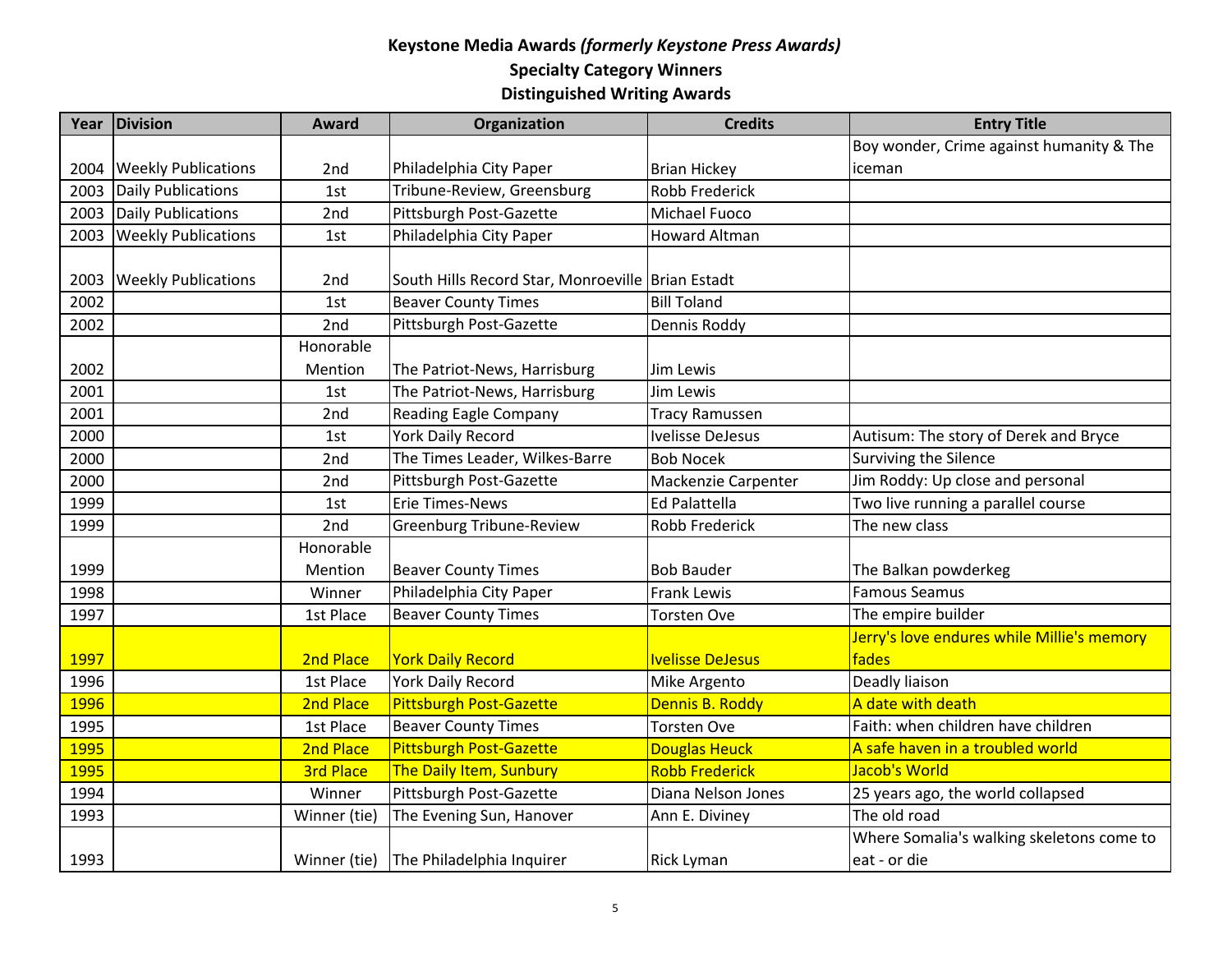| Year        | Division                   | <b>Award</b>     | Organization                                      | <b>Credits</b>          | <b>Entry Title</b>                         |
|-------------|----------------------------|------------------|---------------------------------------------------|-------------------------|--------------------------------------------|
|             |                            |                  |                                                   |                         | Boy wonder, Crime against humanity & The   |
| 2004        | <b>Weekly Publications</b> | 2nd              | Philadelphia City Paper                           | <b>Brian Hickey</b>     | iceman                                     |
| 2003        | Daily Publications         | 1st              | Tribune-Review, Greensburg                        | <b>Robb Frederick</b>   |                                            |
| 2003        | Daily Publications         | 2nd              | Pittsburgh Post-Gazette                           | Michael Fuoco           |                                            |
| 2003        | <b>Weekly Publications</b> | 1st              | Philadelphia City Paper                           | <b>Howard Altman</b>    |                                            |
|             |                            |                  |                                                   |                         |                                            |
| 2003        | <b>Weekly Publications</b> | 2nd              | South Hills Record Star, Monroeville Brian Estadt |                         |                                            |
| 2002        |                            | 1st              | <b>Beaver County Times</b>                        | <b>Bill Toland</b>      |                                            |
| 2002        |                            | 2nd              | Pittsburgh Post-Gazette                           | Dennis Roddy            |                                            |
|             |                            | Honorable        |                                                   |                         |                                            |
| 2002        |                            | Mention          | The Patriot-News, Harrisburg                      | Jim Lewis               |                                            |
| 2001        |                            | 1st              | The Patriot-News, Harrisburg                      | Jim Lewis               |                                            |
| 2001        |                            | 2nd              | <b>Reading Eagle Company</b>                      | <b>Tracy Ramussen</b>   |                                            |
| 2000        |                            | 1st              | <b>York Daily Record</b>                          | <b>Ivelisse DeJesus</b> | Autisum: The story of Derek and Bryce      |
| 2000        |                            | 2nd              | The Times Leader, Wilkes-Barre                    | <b>Bob Nocek</b>        | Surviving the Silence                      |
| 2000        |                            | 2nd              | Pittsburgh Post-Gazette                           | Mackenzie Carpenter     | Jim Roddy: Up close and personal           |
| 1999        |                            | 1st              | <b>Erie Times-News</b>                            | Ed Palattella           | Two live running a parallel course         |
| 1999        |                            | 2nd              | Greenburg Tribune-Review                          | Robb Frederick          | The new class                              |
|             |                            | Honorable        |                                                   |                         |                                            |
| 1999        |                            | Mention          | <b>Beaver County Times</b>                        | <b>Bob Bauder</b>       | The Balkan powderkeg                       |
| 1998        |                            | Winner           | Philadelphia City Paper                           | <b>Frank Lewis</b>      | <b>Famous Seamus</b>                       |
| 1997        |                            | 1st Place        | <b>Beaver County Times</b>                        | <b>Torsten Ove</b>      | The empire builder                         |
|             |                            |                  |                                                   |                         | Jerry's love endures while Millie's memory |
| 1997        |                            | 2nd Place        | <b>York Daily Record</b>                          | <b>Ivelisse DeJesus</b> | fades                                      |
| 1996        |                            | 1st Place        | <b>York Daily Record</b>                          | Mike Argento            | Deadly liaison                             |
| <b>1996</b> |                            | 2nd Place        | <b>Pittsburgh Post-Gazette</b>                    | Dennis B. Roddy         | A date with death                          |
| 1995        |                            | 1st Place        | <b>Beaver County Times</b>                        | <b>Torsten Ove</b>      | Faith: when children have children         |
| 1995        |                            | 2nd Place        | Pittsburgh Post-Gazette                           | <b>Douglas Heuck</b>    | A safe haven in a troubled world           |
| <b>1995</b> |                            | <b>3rd Place</b> | The Daily Item, Sunbury                           | <b>Robb Frederick</b>   | Jacob's World                              |
| 1994        |                            | Winner           | Pittsburgh Post-Gazette                           | Diana Nelson Jones      | 25 years ago, the world collapsed          |
| 1993        |                            | Winner (tie)     | The Evening Sun, Hanover                          | Ann E. Diviney          | The old road                               |
|             |                            |                  |                                                   |                         | Where Somalia's walking skeletons come to  |
| 1993        |                            |                  | Winner (tie) The Philadelphia Inquirer            | <b>Rick Lyman</b>       | eat - or die                               |